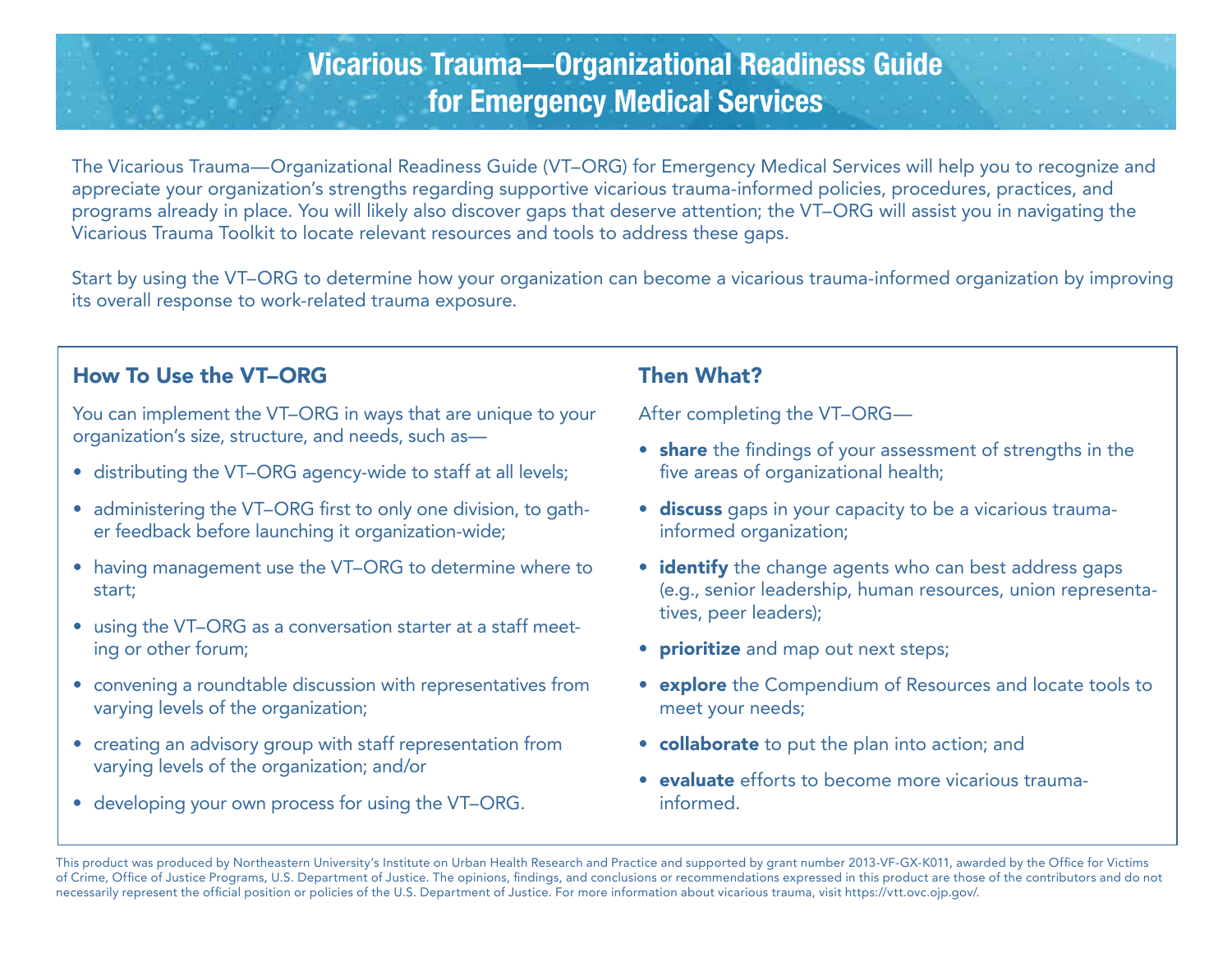# Vicarious Trauma—Organizational Readiness Guide for Emergency Medical Services

The Vicarious Trauma—Organizational Readiness Guide (VT–ORG) for Emergency Medical Services will help you to recognize and appreciate your organization's strengths regarding supportive vicarious trauma-informed policies, procedures, practices, and programs already in place. You will likely also discover gaps that deserve attention; the VT–ORG will assist you in navigating the Vicarious Trauma Toolkit to locate relevant resources and tools to address these gaps.

Start by using the VT–ORG to determine how your organization can become a vicarious trauma-informed organization by improving its overall response to work-related trauma exposure.

#### How To Use the VT–ORG

You can implement the VT–ORG in ways that are unique to your organization's size, structure, and needs, such as—

- distributing the VT–ORG agency-wide to staff at all levels;
- administering the VT–ORG first to only one division, to gather feedback before launching it organization-wide;
- having management use the VT–ORG to determine where to start;
- using the VT–ORG as a conversation starter at a staff meeting or other forum;
- convening a roundtable discussion with representatives from varying levels of the organization;
- creating an advisory group with staff representation from varying levels of the organization; and/or
- developing your own process for using the VT–ORG.

#### Then What?

After completing the VT–ORG—

- share the findings of your assessment of strengths in the five areas of organizational health;
- discuss gaps in your capacity to be a vicarious traumainformed organization;
- identify the change agents who can best address gaps (e.g., senior leadership, human resources, union representatives, peer leaders);
- prioritize and map out next steps;
- explore the Compendium of Resources and locate tools to meet your needs;
- collaborate to put the plan into action; and
- evaluate efforts to become more vicarious traumainformed.

 This product was produced by Northeastern University's Institute on Urban Health Research and Practice and supported by grant number 2013-VF-GX-K011, awarded by the Office for Victims of Crime, Office of Justice Programs, U.S. Department of Justice. The opinions, findings, and conclusions or recommendations expressed in this product are those of the contributors and do not necessarily represent the official position or policies of the U.S. Department of Justice. For more information about vicarious trauma, visit [https://vtt.ovc.ojp.gov/.](http://https//vtt.ovc.ojp.gov/)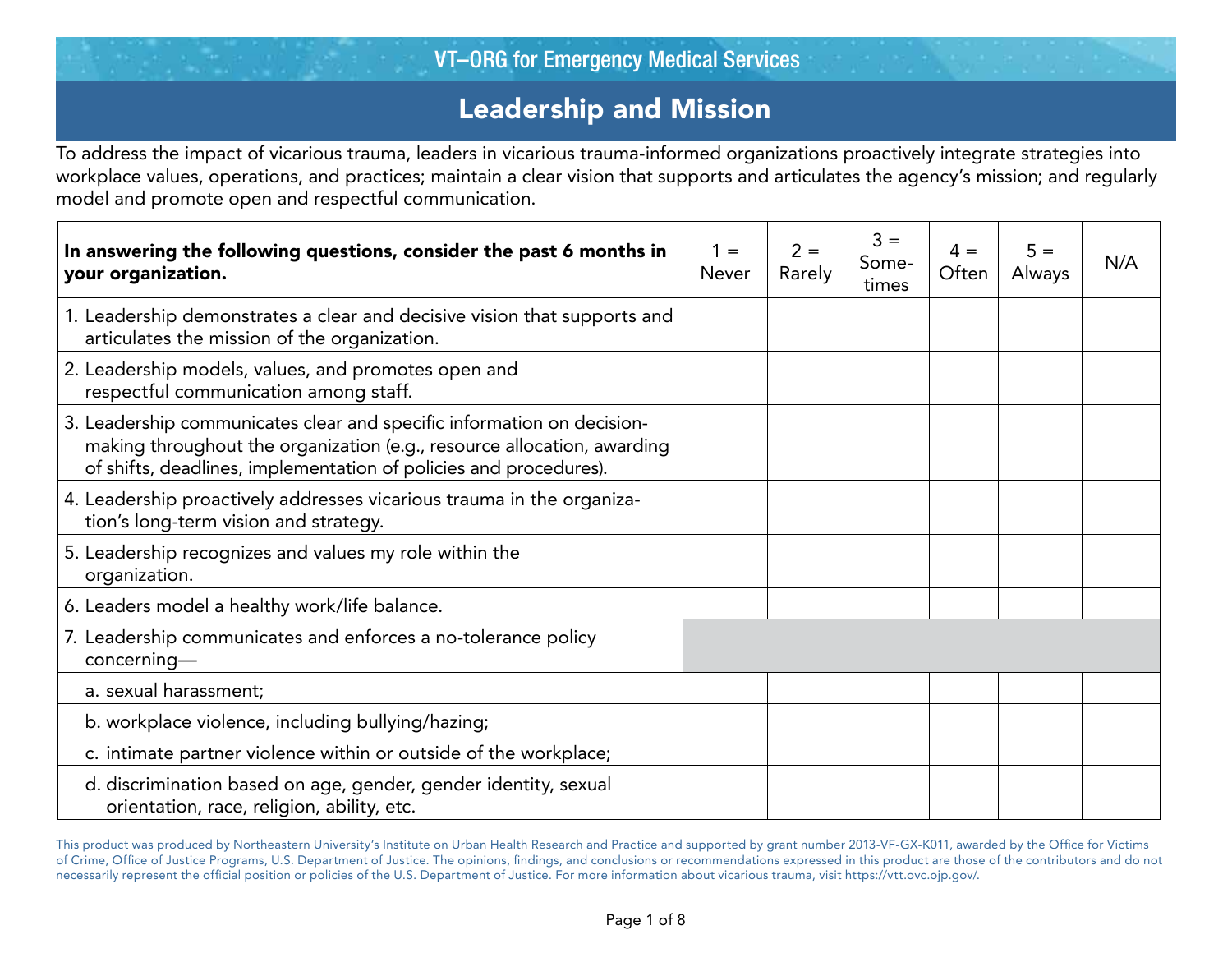# Leadership and Mission

To address the impact of vicarious trauma, leaders in vicarious trauma-informed organizations proactively integrate strategies into workplace values, operations, and practices; maintain a clear vision that supports and articulates the agency's mission; and regularly model and promote open and respectful communication.

| In answering the following questions, consider the past 6 months in<br>your organization.                                                                                                                              | $1 =$<br><b>Never</b> | $2 =$<br>Rarely | $3 =$<br>Some-<br>times | $4 =$<br>Often | $5 =$<br>Always | N/A |
|------------------------------------------------------------------------------------------------------------------------------------------------------------------------------------------------------------------------|-----------------------|-----------------|-------------------------|----------------|-----------------|-----|
| 1. Leadership demonstrates a clear and decisive vision that supports and<br>articulates the mission of the organization.                                                                                               |                       |                 |                         |                |                 |     |
| 2. Leadership models, values, and promotes open and<br>respectful communication among staff.                                                                                                                           |                       |                 |                         |                |                 |     |
| 3. Leadership communicates clear and specific information on decision-<br>making throughout the organization (e.g., resource allocation, awarding<br>of shifts, deadlines, implementation of policies and procedures). |                       |                 |                         |                |                 |     |
| 4. Leadership proactively addresses vicarious trauma in the organiza-<br>tion's long-term vision and strategy.                                                                                                         |                       |                 |                         |                |                 |     |
| 5. Leadership recognizes and values my role within the<br>organization.                                                                                                                                                |                       |                 |                         |                |                 |     |
| 6. Leaders model a healthy work/life balance.                                                                                                                                                                          |                       |                 |                         |                |                 |     |
| 7. Leadership communicates and enforces a no-tolerance policy<br>$concerning$ —                                                                                                                                        |                       |                 |                         |                |                 |     |
| a. sexual harassment;                                                                                                                                                                                                  |                       |                 |                         |                |                 |     |
| b. workplace violence, including bullying/hazing;                                                                                                                                                                      |                       |                 |                         |                |                 |     |
| c. intimate partner violence within or outside of the workplace;                                                                                                                                                       |                       |                 |                         |                |                 |     |
| d. discrimination based on age, gender, gender identity, sexual<br>orientation, race, religion, ability, etc.                                                                                                          |                       |                 |                         |                |                 |     |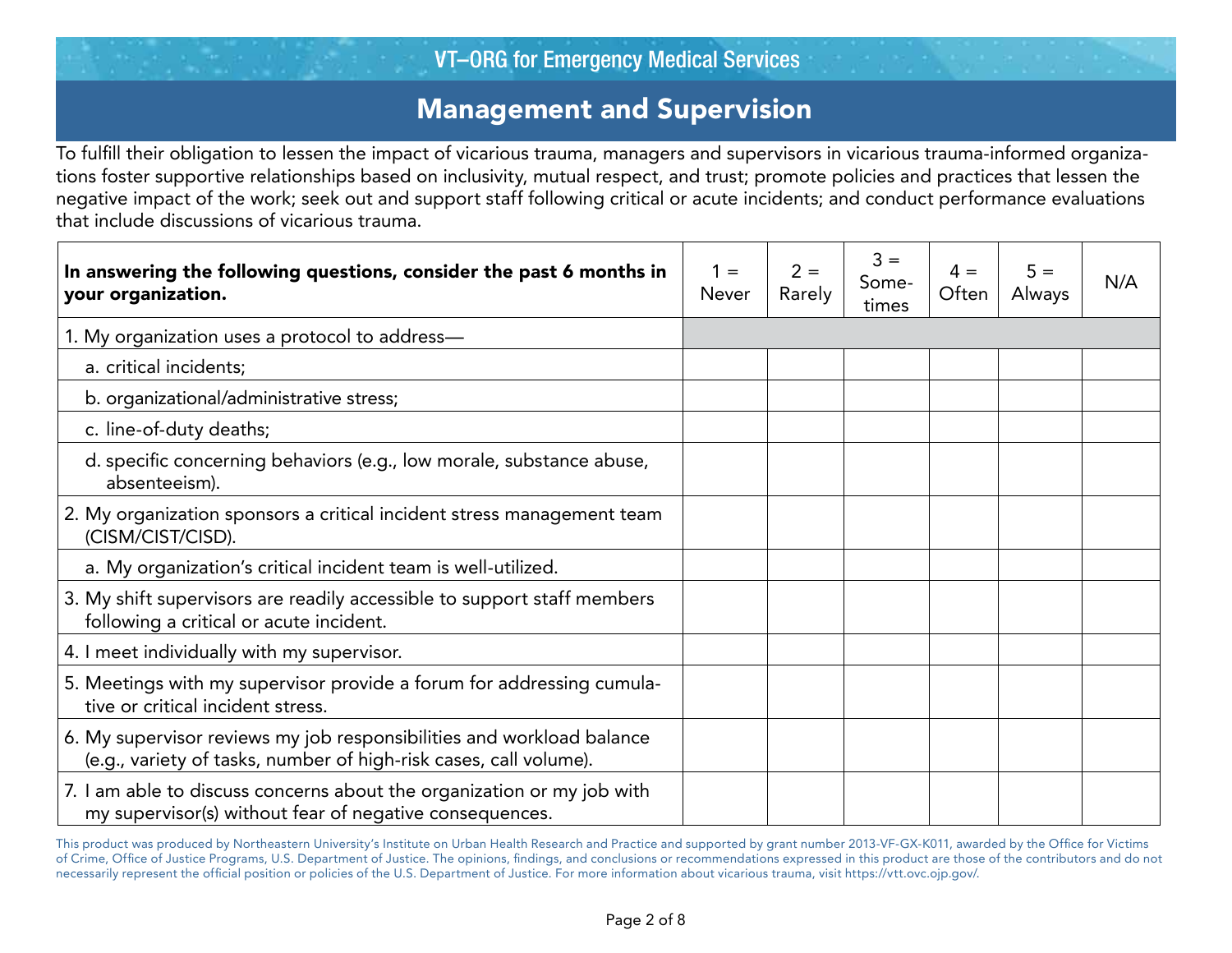# Management and Supervision

 To fulfill their obligation to lessen the impact of vicarious trauma, managers and supervisors in vicarious trauma-informed organizations foster supportive relationships based on inclusivity, mutual respect, and trust; promote policies and practices that lessen the negative impact of the work; seek out and support staff following critical or acute incidents; and conduct performance evaluations that include discussions of vicarious trauma.

| In answering the following questions, consider the past 6 months in<br>your organization.                                                  | $1 =$<br><b>Never</b> | $2 =$<br>Rarely | $3 =$<br>Some-<br>times | $4 =$<br>Often | $5 =$<br>Always | N/A |
|--------------------------------------------------------------------------------------------------------------------------------------------|-----------------------|-----------------|-------------------------|----------------|-----------------|-----|
| 1. My organization uses a protocol to address-                                                                                             |                       |                 |                         |                |                 |     |
| a. critical incidents;                                                                                                                     |                       |                 |                         |                |                 |     |
| b. organizational/administrative stress;                                                                                                   |                       |                 |                         |                |                 |     |
| c. line-of-duty deaths;                                                                                                                    |                       |                 |                         |                |                 |     |
| d. specific concerning behaviors (e.g., low morale, substance abuse,<br>absenteeism).                                                      |                       |                 |                         |                |                 |     |
| 2. My organization sponsors a critical incident stress management team<br>(CISM/CIST/CISD).                                                |                       |                 |                         |                |                 |     |
| a. My organization's critical incident team is well-utilized.                                                                              |                       |                 |                         |                |                 |     |
| 3. My shift supervisors are readily accessible to support staff members<br>following a critical or acute incident.                         |                       |                 |                         |                |                 |     |
| 4. I meet individually with my supervisor.                                                                                                 |                       |                 |                         |                |                 |     |
| 5. Meetings with my supervisor provide a forum for addressing cumula-<br>tive or critical incident stress.                                 |                       |                 |                         |                |                 |     |
| 6. My supervisor reviews my job responsibilities and workload balance<br>(e.g., variety of tasks, number of high-risk cases, call volume). |                       |                 |                         |                |                 |     |
| 7. I am able to discuss concerns about the organization or my job with<br>my supervisor(s) without fear of negative consequences.          |                       |                 |                         |                |                 |     |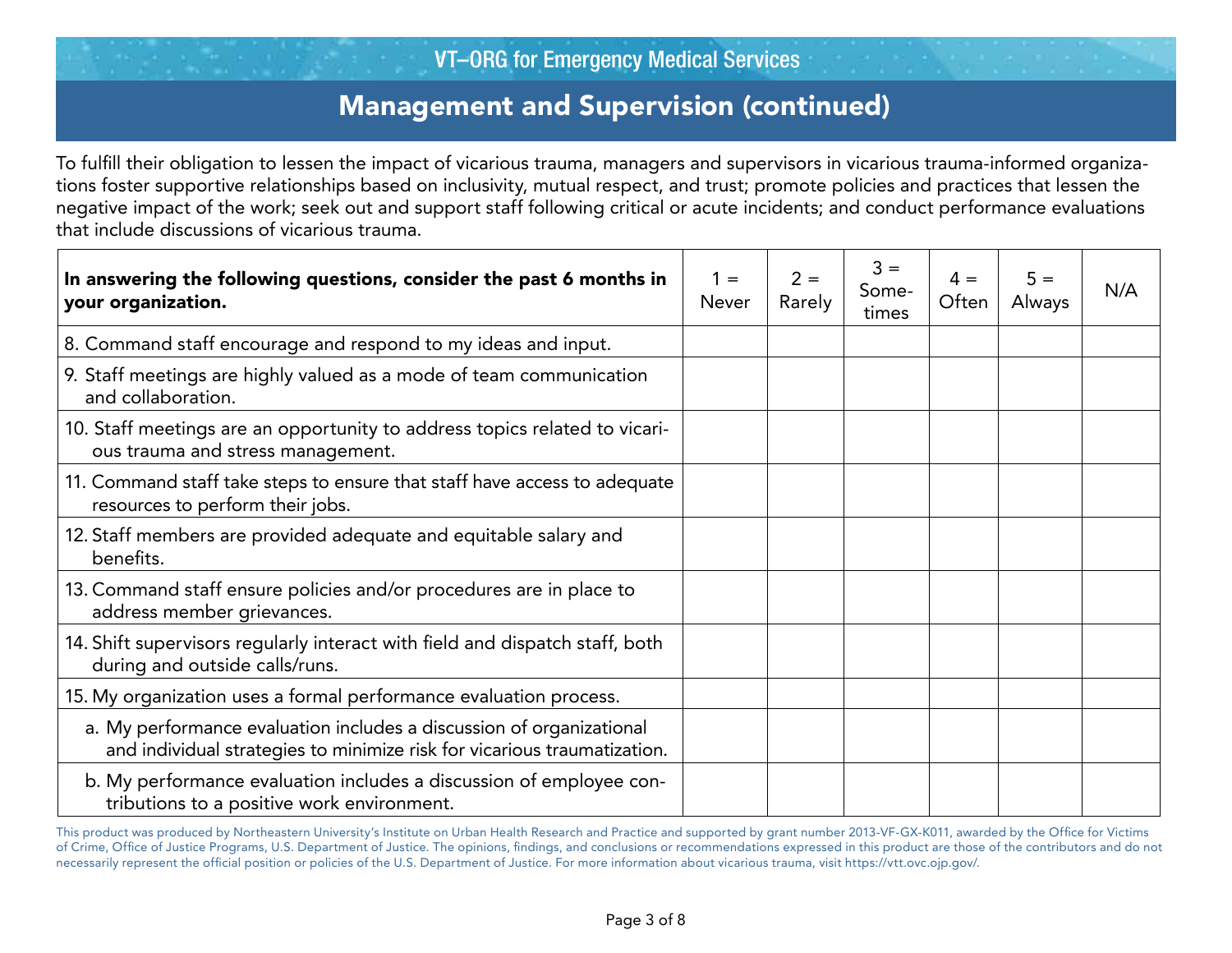# Management and Supervision (continued)

 To fulfill their obligation to lessen the impact of vicarious trauma, managers and supervisors in vicarious trauma-informed organizations foster supportive relationships based on inclusivity, mutual respect, and trust; promote policies and practices that lessen the negative impact of the work; seek out and support staff following critical or acute incidents; and conduct performance evaluations that include discussions of vicarious trauma.

| In answering the following questions, consider the past 6 months in<br>your organization.                                                        | $1 =$<br><b>Never</b> | $2 =$<br>Rarely | $3 =$<br>Some-<br>times | $4 =$<br>Often | $5 =$<br><b>Always</b> | N/A |
|--------------------------------------------------------------------------------------------------------------------------------------------------|-----------------------|-----------------|-------------------------|----------------|------------------------|-----|
| 8. Command staff encourage and respond to my ideas and input.                                                                                    |                       |                 |                         |                |                        |     |
| 9. Staff meetings are highly valued as a mode of team communication<br>and collaboration.                                                        |                       |                 |                         |                |                        |     |
| 10. Staff meetings are an opportunity to address topics related to vicari-<br>ous trauma and stress management.                                  |                       |                 |                         |                |                        |     |
| 11. Command staff take steps to ensure that staff have access to adequate<br>resources to perform their jobs.                                    |                       |                 |                         |                |                        |     |
| 12. Staff members are provided adequate and equitable salary and<br>benefits.                                                                    |                       |                 |                         |                |                        |     |
| 13. Command staff ensure policies and/or procedures are in place to<br>address member grievances.                                                |                       |                 |                         |                |                        |     |
| 14. Shift supervisors regularly interact with field and dispatch staff, both<br>during and outside calls/runs.                                   |                       |                 |                         |                |                        |     |
| 15. My organization uses a formal performance evaluation process.                                                                                |                       |                 |                         |                |                        |     |
| a. My performance evaluation includes a discussion of organizational<br>and individual strategies to minimize risk for vicarious traumatization. |                       |                 |                         |                |                        |     |
| b. My performance evaluation includes a discussion of employee con-<br>tributions to a positive work environment.                                |                       |                 |                         |                |                        |     |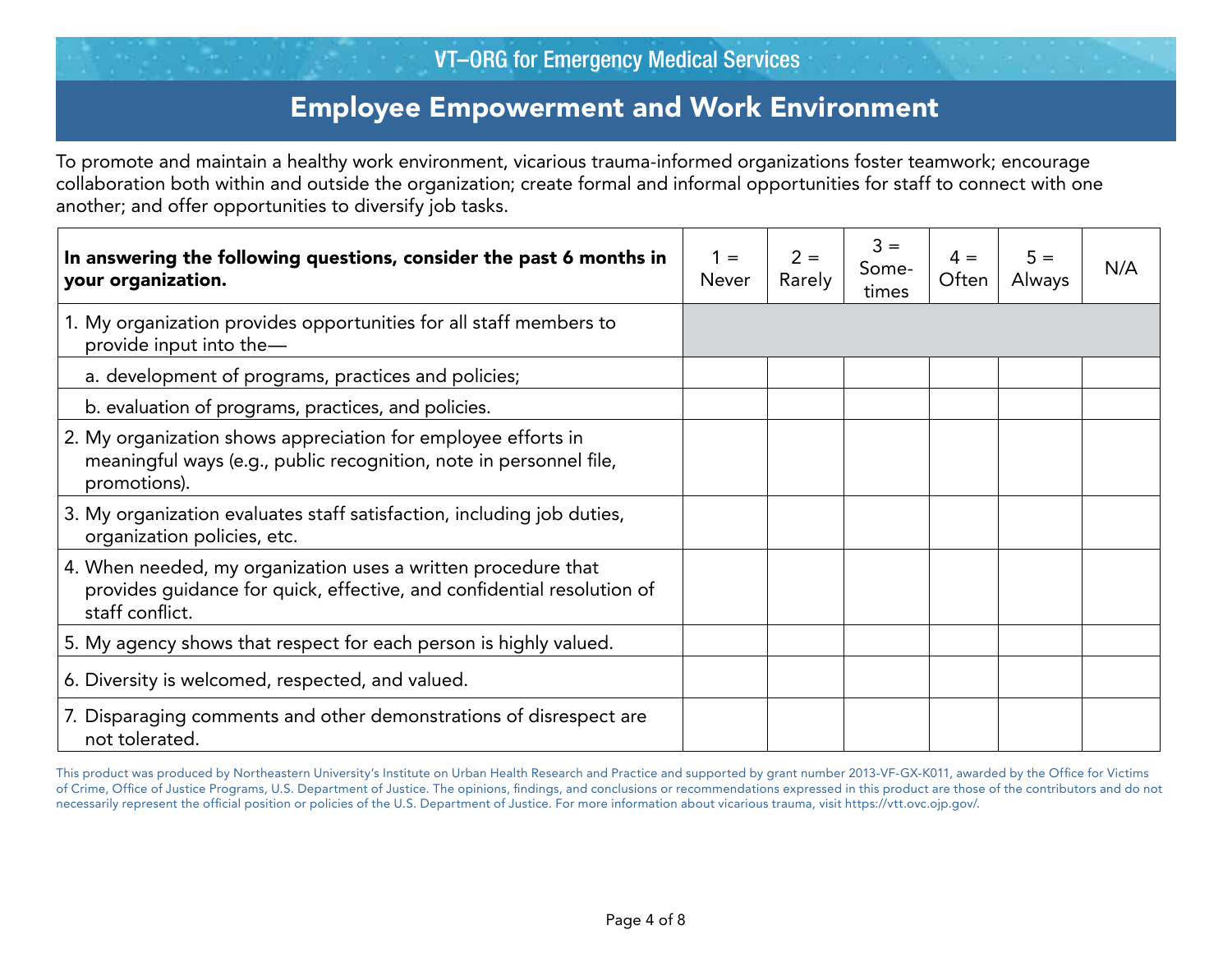### Employee Empowerment and Work Environment

 another; and offer opportunities to diversify job tasks. To promote and maintain a healthy work environment, vicarious trauma-informed organizations foster teamwork; encourage collaboration both within and outside the organization; create formal and informal opportunities for staff to connect with one

| In answering the following questions, consider the past 6 months in<br>your organization.                                                                  | $1 =$<br><b>Never</b> | $2 =$<br>Rarely | $3 =$<br>Some-<br>times | $4 =$<br>Often | $5 =$<br>Always | N/A |
|------------------------------------------------------------------------------------------------------------------------------------------------------------|-----------------------|-----------------|-------------------------|----------------|-----------------|-----|
| 1. My organization provides opportunities for all staff members to<br>provide input into the-                                                              |                       |                 |                         |                |                 |     |
| a. development of programs, practices and policies;                                                                                                        |                       |                 |                         |                |                 |     |
| b. evaluation of programs, practices, and policies.                                                                                                        |                       |                 |                         |                |                 |     |
| 2. My organization shows appreciation for employee efforts in<br>meaningful ways (e.g., public recognition, note in personnel file,<br>promotions).        |                       |                 |                         |                |                 |     |
| 3. My organization evaluates staff satisfaction, including job duties,<br>organization policies, etc.                                                      |                       |                 |                         |                |                 |     |
| 4. When needed, my organization uses a written procedure that<br>provides quidance for quick, effective, and confidential resolution of<br>staff conflict. |                       |                 |                         |                |                 |     |
| 5. My agency shows that respect for each person is highly valued.                                                                                          |                       |                 |                         |                |                 |     |
| 6. Diversity is welcomed, respected, and valued.                                                                                                           |                       |                 |                         |                |                 |     |
| 7. Disparaging comments and other demonstrations of disrespect are<br>not tolerated.                                                                       |                       |                 |                         |                |                 |     |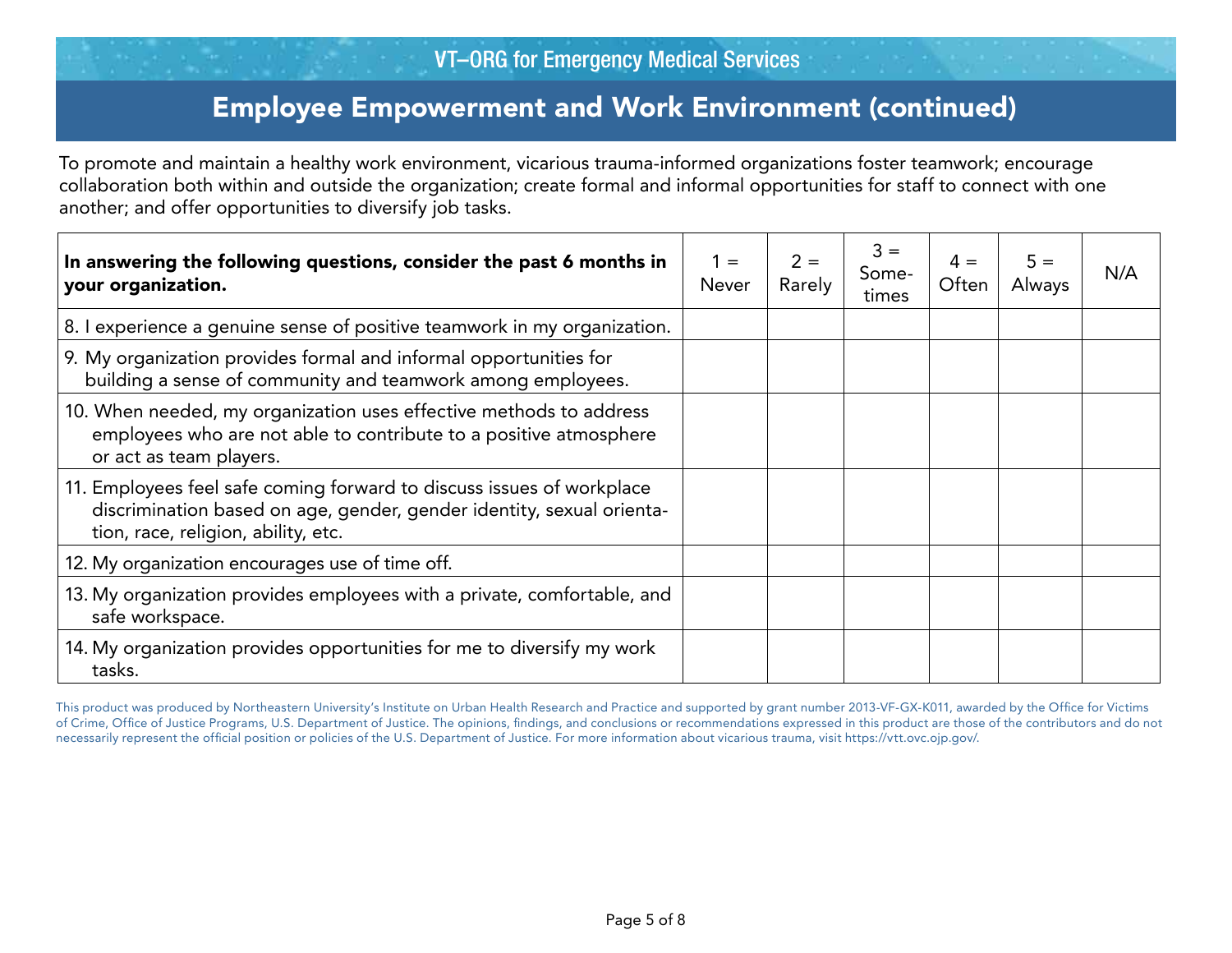# Employee Empowerment and Work Environment (continued)

 another; and offer opportunities to diversify job tasks. To promote and maintain a healthy work environment, vicarious trauma-informed organizations foster teamwork; encourage collaboration both within and outside the organization; create formal and informal opportunities for staff to connect with one

| In answering the following questions, consider the past 6 months in<br>your organization.                                                                                             | $1 =$<br><b>Never</b> | $2 =$<br>Rarely | $3 =$<br>Some-<br>times | $4 =$<br>Often | $5 =$<br>Always | N/A |
|---------------------------------------------------------------------------------------------------------------------------------------------------------------------------------------|-----------------------|-----------------|-------------------------|----------------|-----------------|-----|
| 8. I experience a genuine sense of positive teamwork in my organization.                                                                                                              |                       |                 |                         |                |                 |     |
| 9. My organization provides formal and informal opportunities for<br>building a sense of community and teamwork among employees.                                                      |                       |                 |                         |                |                 |     |
| 10. When needed, my organization uses effective methods to address<br>employees who are not able to contribute to a positive atmosphere<br>or act as team players.                    |                       |                 |                         |                |                 |     |
| 11. Employees feel safe coming forward to discuss issues of workplace<br>discrimination based on age, gender, gender identity, sexual orienta-<br>tion, race, religion, ability, etc. |                       |                 |                         |                |                 |     |
| 12. My organization encourages use of time off.                                                                                                                                       |                       |                 |                         |                |                 |     |
| 13. My organization provides employees with a private, comfortable, and<br>safe workspace.                                                                                            |                       |                 |                         |                |                 |     |
| 14. My organization provides opportunities for me to diversify my work<br>tasks.                                                                                                      |                       |                 |                         |                |                 |     |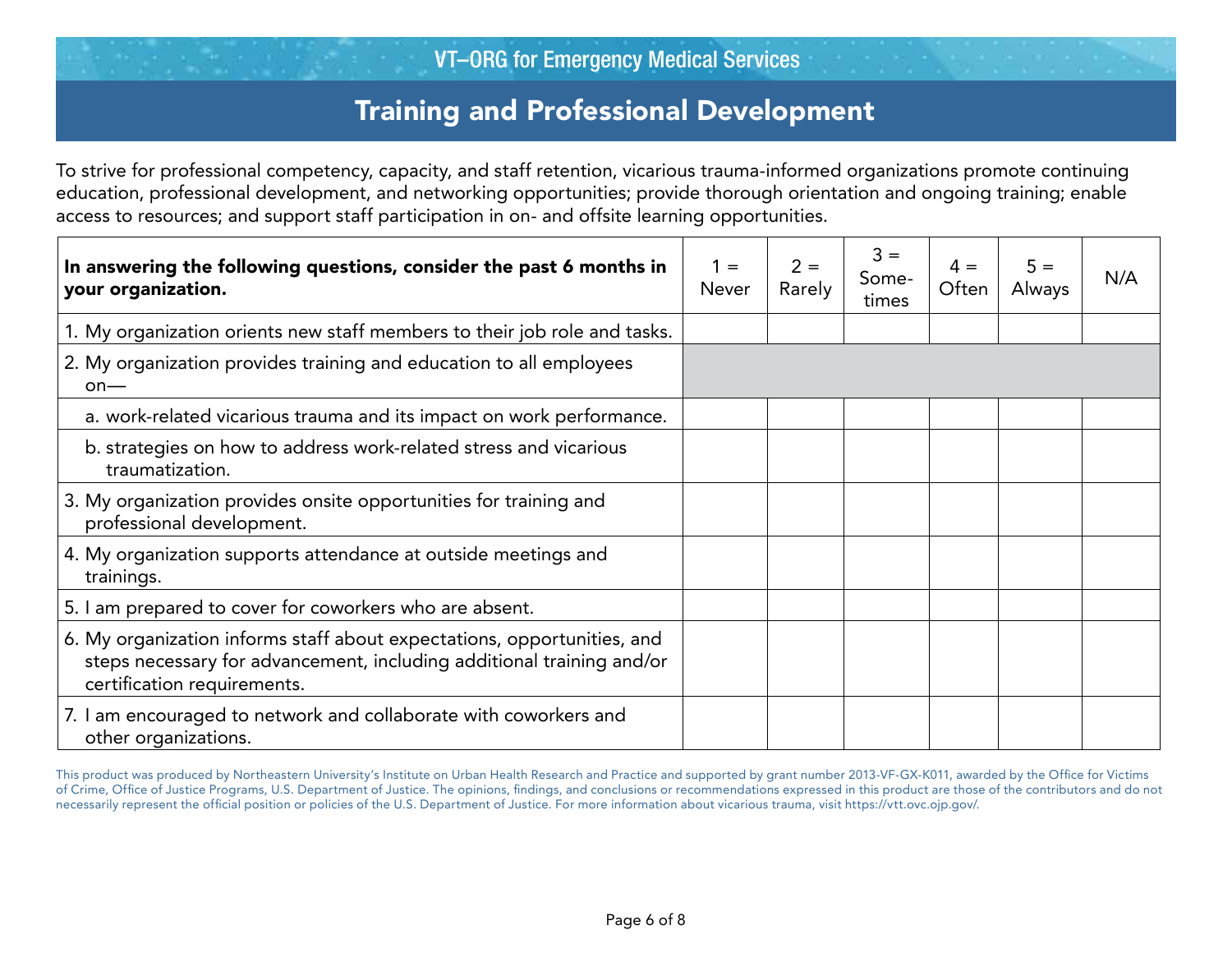### Training and Professional Development

To strive for professional competency, capacity, and staff retention, vicarious trauma-informed organizations promote continuing education, professional development, and networking opportunities; provide thorough orientation and ongoing training; enable access to resources; and support staff participation in on- and offsite learning opportunities.

| In answering the following questions, consider the past 6 months in<br>your organization.                                                                                       | $1 =$<br><b>Never</b> | $2 =$<br>Rarely | $3 =$<br>Some-<br>times | $4 =$<br>Often | $5 =$<br><b>Always</b> | N/A |
|---------------------------------------------------------------------------------------------------------------------------------------------------------------------------------|-----------------------|-----------------|-------------------------|----------------|------------------------|-----|
| 1. My organization orients new staff members to their job role and tasks.                                                                                                       |                       |                 |                         |                |                        |     |
| 2. My organization provides training and education to all employees<br>$on$ —                                                                                                   |                       |                 |                         |                |                        |     |
| a. work-related vicarious trauma and its impact on work performance.                                                                                                            |                       |                 |                         |                |                        |     |
| b. strategies on how to address work-related stress and vicarious<br>traumatization.                                                                                            |                       |                 |                         |                |                        |     |
| 3. My organization provides onsite opportunities for training and<br>professional development.                                                                                  |                       |                 |                         |                |                        |     |
| 4. My organization supports attendance at outside meetings and<br>trainings.                                                                                                    |                       |                 |                         |                |                        |     |
| 5. I am prepared to cover for coworkers who are absent.                                                                                                                         |                       |                 |                         |                |                        |     |
| 6. My organization informs staff about expectations, opportunities, and<br>steps necessary for advancement, including additional training and/or<br>certification requirements. |                       |                 |                         |                |                        |     |
| 7. I am encouraged to network and collaborate with coworkers and<br>other organizations.                                                                                        |                       |                 |                         |                |                        |     |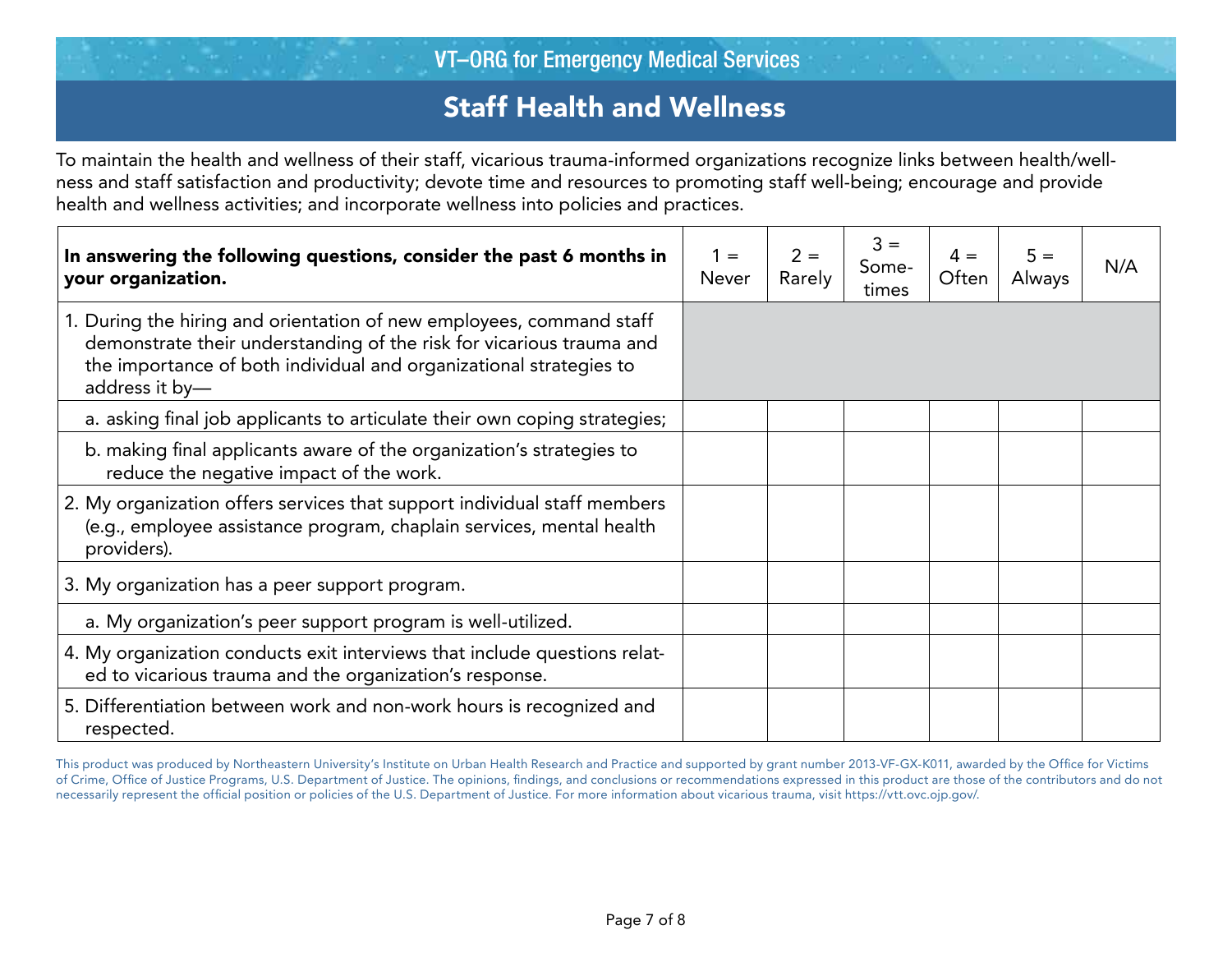# Staff Health and Wellness

To maintain the health and wellness of their staff, vicarious trauma-informed organizations recognize links between health/wellness and staff satisfaction and productivity; devote time and resources to promoting staff well-being; encourage and provide health and wellness activities; and incorporate wellness into policies and practices.

| In answering the following questions, consider the past 6 months in<br>your organization.                                                                                                                                            | $1 =$<br><b>Never</b> | $2 =$<br>Rarely | $3 =$<br>Some-<br>times | $4 =$<br>Often | $5 =$<br>Always | N/A |
|--------------------------------------------------------------------------------------------------------------------------------------------------------------------------------------------------------------------------------------|-----------------------|-----------------|-------------------------|----------------|-----------------|-----|
| 1. During the hiring and orientation of new employees, command staff<br>demonstrate their understanding of the risk for vicarious trauma and<br>the importance of both individual and organizational strategies to<br>address it by- |                       |                 |                         |                |                 |     |
| a. asking final job applicants to articulate their own coping strategies;                                                                                                                                                            |                       |                 |                         |                |                 |     |
| b. making final applicants aware of the organization's strategies to<br>reduce the negative impact of the work.                                                                                                                      |                       |                 |                         |                |                 |     |
| 2. My organization offers services that support individual staff members<br>(e.g., employee assistance program, chaplain services, mental health<br>providers).                                                                      |                       |                 |                         |                |                 |     |
| 3. My organization has a peer support program.                                                                                                                                                                                       |                       |                 |                         |                |                 |     |
| a. My organization's peer support program is well-utilized.                                                                                                                                                                          |                       |                 |                         |                |                 |     |
| 4. My organization conducts exit interviews that include questions relat-<br>ed to vicarious trauma and the organization's response.                                                                                                 |                       |                 |                         |                |                 |     |
| 5. Differentiation between work and non-work hours is recognized and<br>respected.                                                                                                                                                   |                       |                 |                         |                |                 |     |